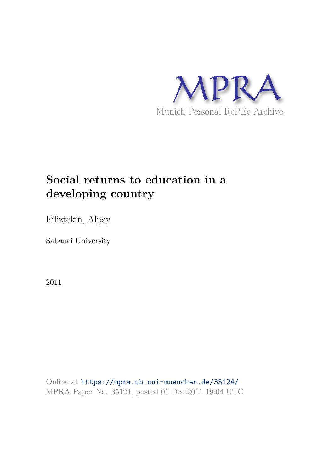

## **Social returns to education in a developing country**

Filiztekin, Alpay

Sabanci University

2011

Online at https://mpra.ub.uni-muenchen.de/35124/ MPRA Paper No. 35124, posted 01 Dec 2011 19:04 UTC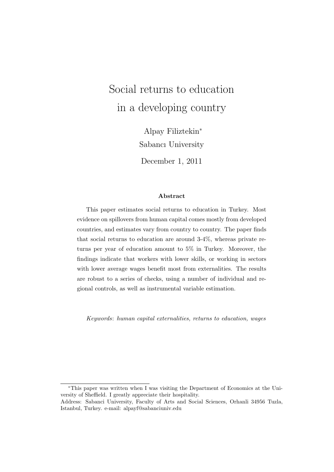# Social returns to education in a developing country

Alpay Filiztekin<sup>∗</sup> Sabancı University

December 1, 2011

#### Abstract

This paper estimates social returns to education in Turkey. Most evidence on spillovers from human capital comes mostly from developed countries, and estimates vary from country to country. The paper finds that social returns to education are around 3-4%, whereas private returns per year of education amount to 5% in Turkey. Moreover, the findings indicate that workers with lower skills, or working in sectors with lower average wages benefit most from externalities. The results are robust to a series of checks, using a number of individual and regional controls, as well as instrumental variable estimation.

Keywords: human capital externalities, returns to education, wages

<sup>∗</sup>This paper was written when I was visiting the Department of Economics at the University of Sheffield. I greatly appreciate their hospitality.

Address: Sabanci University, Faculty of Arts and Social Sciences, Orhanli 34956 Tuzla, Istanbul, Turkey. e-mail: alpayf@sabanciuniv.edu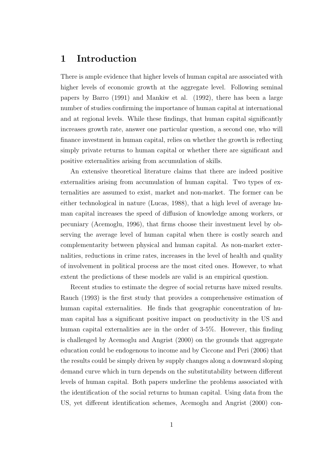## 1 Introduction

There is ample evidence that higher levels of human capital are associated with higher levels of economic growth at the aggregate level. Following seminal papers by Barro (1991) and Mankiw et al. (1992), there has been a large number of studies confirming the importance of human capital at international and at regional levels. While these findings, that human capital significantly increases growth rate, answer one particular question, a second one, who will finance investment in human capital, relies on whether the growth is reflecting simply private returns to human capital or whether there are significant and positive externalities arising from accumulation of skills.

An extensive theoretical literature claims that there are indeed positive externalities arising from accumulation of human capital. Two types of externalities are assumed to exist, market and non-market. The former can be either technological in nature (Lucas, 1988), that a high level of average human capital increases the speed of diffusion of knowledge among workers, or pecuniary (Acemoglu, 1996), that firms choose their investment level by observing the average level of human capital when there is costly search and complementarity between physical and human capital. As non-market externalities, reductions in crime rates, increases in the level of health and quality of involvement in political process are the most cited ones. However, to what extent the predictions of these models are valid is an empirical question.

Recent studies to estimate the degree of social returns have mixed results. Rauch (1993) is the first study that provides a comprehensive estimation of human capital externalities. He finds that geographic concentration of human capital has a significant positive impact on productivity in the US and human capital externalities are in the order of 3-5%. However, this finding is challenged by Acemoglu and Angrist (2000) on the grounds that aggregate education could be endogenous to income and by Ciccone and Peri (2006) that the results could be simply driven by supply changes along a downward sloping demand curve which in turn depends on the substitutability between different levels of human capital. Both papers underline the problems associated with the identification of the social returns to human capital. Using data from the US, yet different identification schemes, Acemoglu and Angrist (2000) con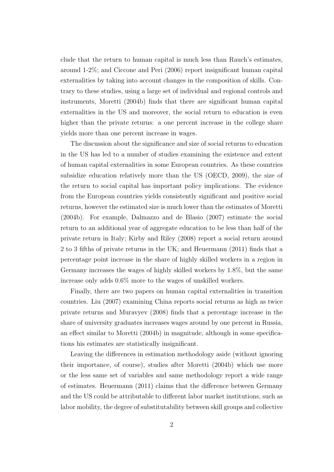clude that the return to human capital is much less than Rauch's estimates, around 1-2%; and Ciccone and Peri (2006) report insignificant human capital externalities by taking into account changes in the composition of skills. Contrary to these studies, using a large set of individual and regional controls and instruments, Moretti (2004b) finds that there are significant human capital externalities in the US and moreover, the social return to education is even higher than the private returns: a one percent increase in the college share yields more than one percent increase in wages.

The discussion about the significance and size of social returns to education in the US has led to a number of studies examining the existence and extent of human capital externalities in some European countries. As these countries subsidize education relatively more than the US (OECD, 2009), the size of the return to social capital has important policy implications. The evidence from the European countries yields consistently significant and positive social returns, however the estimated size is much lower than the estimates of Moretti (2004b). For example, Dalmazzo and de Blasio (2007) estimate the social return to an additional year of aggregate education to be less than half of the private return in Italy; Kirby and Riley (2008) report a social return around 2 to 3 fifths of private returns in the UK; and Heuermann (2011) finds that a percentage point increase in the share of highly skilled workers in a region in Germany increases the wages of highly skilled workers by 1.8%, but the same increase only adds 0.6% more to the wages of unskilled workers.

Finally, there are two papers on human capital externalities in transition countries. Liu (2007) examining China reports social returns as high as twice private returns and Muravyev (2008) finds that a percentage increase in the share of university graduates increases wages around by one percent in Russia, an effect similar to Moretti (2004b) in magnitude, although in some specifications his estimates are statistically insignificant.

Leaving the differences in estimation methodology aside (without ignoring their importance, of course), studies after Moretti (2004b) which use more or the less same set of variables and same methodology report a wide range of estimates. Heuermann (2011) claims that the difference between Germany and the US could be attributable to different labor market institutions, such as labor mobility, the degree of substitutability between skill groups and collective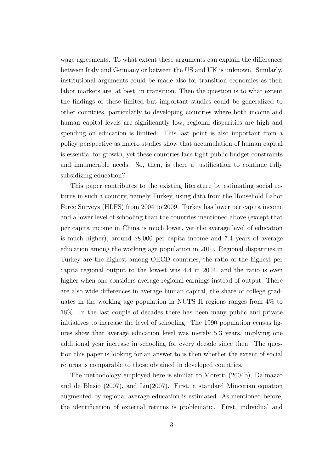wage agreements. To what extent these arguments can explain the differences between Italy and Germany or between the US and UK is unknown. Similarly, institutional arguments could be made also for transition economies as their labor markets are, at best, in transition. Then the question is to what extent the findings of these limited but important studies could be generalized to other countries, particularly to developing countries where both income and human capital levels are significantly low, regional disparities are high and spending on education is limited. This last point is also important from a policy perspective as macro studies show that accumulation of human capital is essential for growth, yet these countries face tight public budget constraints and innumerable needs. So, then, is there a justification to continue fully subsidizing education?

This paper contributes to the existing literature by estimating social returns in such a country, namely Turkey, using data from the Household Labor Force Surveys (HLFS) from 2004 to 2009. Turkey has lower per capita income and a lower level of schooling than the countries mentioned above (except that per capita income in China is much lower, yet the average level of education is much higher), around \$8,000 per capita income and 7.4 years of average education among the working age population in 2010. Regional disparities in Turkey are the highest among OECD countries, the ratio of the highest per capita regional output to the lowest was 4.4 in 2004, and the ratio is even higher when one considers average regional earnings instead of output. There are also wide differences in average human capital, the share of college graduates in the working age population in NUTS II regions ranges from 4% to 18%. In the last couple of decades there has been many public and private initiatives to increase the level of schooling. The 1990 population census figures show that average education level was merely 5.3 years, implying one additional year increase in schooling for every decade since then. The question this paper is looking for an answer to is then whether the extent of social returns is comparable to those obtained in developed countries.

The methodology employed here is similar to Moretti (2004b), Dalmazzo and de Blasio (2007), and Liu(2007). First, a standard Mincerian equation augmented by regional average education is estimated. As mentioned before, the identification of external returns is problematic. First, individual and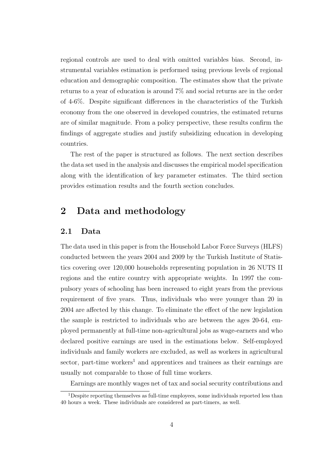regional controls are used to deal with omitted variables bias. Second, instrumental variables estimation is performed using previous levels of regional education and demographic composition. The estimates show that the private returns to a year of education is around 7% and social returns are in the order of 4-6%. Despite significant differences in the characteristics of the Turkish economy from the one observed in developed countries, the estimated returns are of similar magnitude. From a policy perspective, these results confirm the findings of aggregate studies and justify subsidizing education in developing countries.

The rest of the paper is structured as follows. The next section describes the data set used in the analysis and discusses the empirical model specification along with the identification of key parameter estimates. The third section provides estimation results and the fourth section concludes.

## 2 Data and methodology

#### 2.1 Data

The data used in this paper is from the Household Labor Force Surveys (HLFS) conducted between the years 2004 and 2009 by the Turkish Institute of Statistics covering over 120,000 households representing population in 26 NUTS II regions and the entire country with appropriate weights. In 1997 the compulsory years of schooling has been increased to eight years from the previous requirement of five years. Thus, individuals who were younger than 20 in 2004 are affected by this change. To eliminate the effect of the new legislation the sample is restricted to individuals who are between the ages 20-64, employed permanently at full-time non-agricultural jobs as wage-earners and who declared positive earnings are used in the estimations below. Self-employed individuals and family workers are excluded, as well as workers in agricultural sector, part-time workers<sup>1</sup> and apprentices and trainees as their earnings are usually not comparable to those of full time workers.

Earnings are monthly wages net of tax and social security contributions and

<sup>&</sup>lt;sup>1</sup>Despite reporting themselves as full-time employees, some individuals reported less than 40 hours a week. These individuals are considered as part-timers, as well.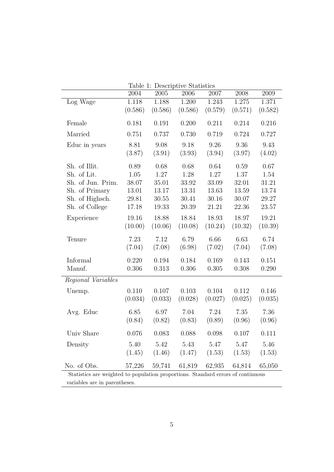| Table 1: Descriptive Statistics |         |                   |                                    |         |                   |         |
|---------------------------------|---------|-------------------|------------------------------------|---------|-------------------|---------|
|                                 | 2004    | 2005              | 2006                               | 2007    | 2008              | 2009    |
| Log Wage                        | 1.118   | 1.188             | 1.200                              | 1.243   | 1.275             | 1.371   |
|                                 | (0.586) | (0.586)           | (0.586)                            | (0.579) | (0.571)           | (0.582) |
|                                 |         |                   |                                    |         |                   |         |
| Female                          | 0.181   | 0.191             | 0.200                              | 0.211   | 0.214             | 0.216   |
| Married                         | 0.751   | 0.737             | 0.730                              | 0.719   | 0.724             | 0.727   |
| Educ in years                   | 8.81    | 9.08              | 9.18                               | 9.26    | 9.36              | 9.43    |
|                                 | (3.87)  | (3.91)            | (3.93)                             | (3.94)  | (3.97)            | (4.02)  |
| Sh. of Illit.                   | 0.89    | 0.68              | 0.68                               | 0.64    | 0.59              | 0.67    |
| Sh. of Lit.                     | 1.05    | 1.27              | 1.28                               | 1.27    | 1.37              | 1.54    |
| Sh. of Jun. Prim.               | 38.07   | 35.01             | 33.92                              | 33.09   | 32.01             | 31.21   |
| Sh. of Primary                  | 13.01   | 13.17             | 13.31                              | 13.63   | 13.59             | 13.74   |
| Sh. of Highsch.                 | 29.81   | 30.55             | 30.41                              | 30.16   | 30.07             | 29.27   |
| Sh. of College                  | 17.18   | 19.33             | 20.39                              | 21.21   | 22.36             | 23.57   |
| Experience                      | 19.16   | 18.88             | 18.84                              | 18.93   | 18.97             | 19.21   |
|                                 | (10.00) | (10.06)           | (10.08)                            | (10.24) | (10.32)           | (10.39) |
| Tenure                          | 7.23    | 7.12              | 6.79                               | 6.66    | 6.63              | 6.74    |
|                                 | (7.04)  | (7.08)            | (6.98)                             | (7.02)  | (7.04)            | (7.08)  |
| Informal                        | 0.220   | 0.194             | 0.184                              | 0.169   | 0.143             | 0.151   |
| Manuf.                          | 0.306   | 0.313             | 0.306                              | 0.305   | 0.308             | 0.290   |
|                                 |         |                   |                                    |         |                   |         |
| Regional Variables              |         |                   |                                    |         |                   |         |
| Unemp.                          | 0.110   | 0.107             | 0.103                              | 0.104   | 0.112             | 0.146   |
|                                 | (0.034) | (0.033)           | (0.028)                            | (0.027) | (0.025)           | (0.035) |
| Avg. Educ                       | 6.85    | 6.97              | 7.04                               | 7.24    | 7.35              | 7.36    |
|                                 | (0.84)  | (0.82)            | (0.83)                             | (0.89)  | (0.96)            | (0.96)  |
| Univ Share                      | 0.076   | 0.083             | 0.088                              | 0.098   | 0.107             | 0.111   |
|                                 |         |                   |                                    |         |                   |         |
| Density                         | 5.40    | 5.42              | 5.43                               | 5.47    | 5.47              | 5.46    |
|                                 |         | $(1.45)$ $(1.46)$ | (1.47)                             |         | $(1.53)$ $(1.53)$ | (1.53)  |
|                                 |         |                   |                                    |         |                   |         |
| No. of Obs.                     |         |                   | 57,226 59,741 61,819 62,935 64,814 |         |                   | 65,050  |

variables are in parentheses.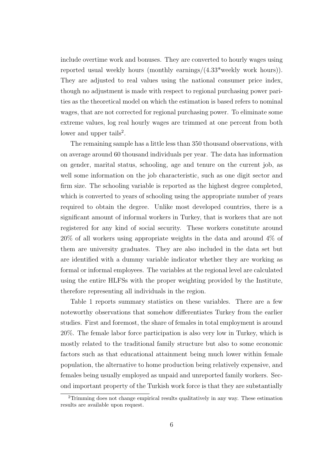include overtime work and bonuses. They are converted to hourly wages using reported usual weekly hours (monthly earnings/(4.33\*weekly work hours)). They are adjusted to real values using the national consumer price index, though no adjustment is made with respect to regional purchasing power parities as the theoretical model on which the estimation is based refers to nominal wages, that are not corrected for regional purchasing power. To eliminate some extreme values, log real hourly wages are trimmed at one percent from both lower and upper tails<sup>2</sup>.

The remaining sample has a little less than 350 thousand observations, with on average around 60 thousand individuals per year. The data has information on gender, marital status, schooling, age and tenure on the current job, as well some information on the job characteristic, such as one digit sector and firm size. The schooling variable is reported as the highest degree completed, which is converted to years of schooling using the appropriate number of years required to obtain the degree. Unlike most developed countries, there is a significant amount of informal workers in Turkey, that is workers that are not registered for any kind of social security. These workers constitute around 20% of all workers using appropriate weights in the data and around 4% of them are university graduates. They are also included in the data set but are identified with a dummy variable indicator whether they are working as formal or informal employees. The variables at the regional level are calculated using the entire HLFSs with the proper weighting provided by the Institute, therefore representing all individuals in the region.

Table 1 reports summary statistics on these variables. There are a few noteworthy observations that somehow differentiates Turkey from the earlier studies. First and foremost, the share of females in total employment is around 20%. The female labor force participation is also very low in Turkey, which is mostly related to the traditional family structure but also to some economic factors such as that educational attainment being much lower within female population, the alternative to home production being relatively expensive, and females being usually employed as unpaid and unreported family workers. Second important property of the Turkish work force is that they are substantially

<sup>2</sup>Trimming does not change empirical results qualitatively in any way. These estimation results are available upon request.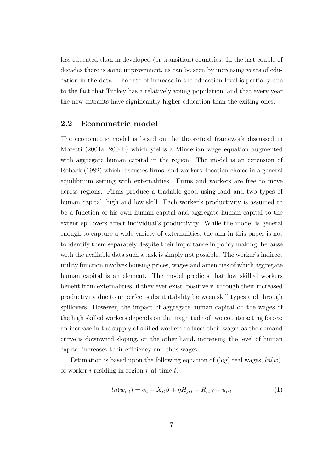less educated than in developed (or transition) countries. In the last couple of decades there is some improvement, as can be seen by increasing years of education in the data. The rate of increase in the education level is partially due to the fact that Turkey has a relatively young population, and that every year the new entrants have significantly higher education than the exiting ones.

#### 2.2 Econometric model

The econometric model is based on the theoretical framework discussed in Moretti (2004a, 2004b) which yields a Mincerian wage equation augmented with aggregate human capital in the region. The model is an extension of Roback (1982) which discusses firms' and workers' location choice in a general equilibrium setting with externalities. Firms and workers are free to move across regions. Firms produce a tradable good using land and two types of human capital, high and low skill. Each worker's productivity is assumed to be a function of his own human capital and aggregate human capital to the extent spillovers affect individual's productivity. While the model is general enough to capture a wide variety of externalities, the aim in this paper is not to identify them separately despite their importance in policy making, because with the available data such a task is simply not possible. The worker's indirect utility function involves housing prices, wages and amenities of which aggregate human capital is an element. The model predicts that low skilled workers benefit from externalities, if they ever exist, positively, through their increased productivity due to imperfect substitutability between skill types and through spillovers. However, the impact of aggregate human capital on the wages of the high skilled workers depends on the magnitude of two counteracting forces: an increase in the supply of skilled workers reduces their wages as the demand curve is downward sloping, on the other hand, increasing the level of human capital increases their efficiency and thus wages.

Estimation is based upon the following equation of (log) real wages,  $ln(w)$ , of worker  $i$  residing in region  $r$  at time  $t$ :

$$
ln(w_{irt}) = \alpha_t + X_{it}\beta + \eta H_{jrt} + R_{rt}\gamma + u_{irt}
$$
\n<sup>(1)</sup>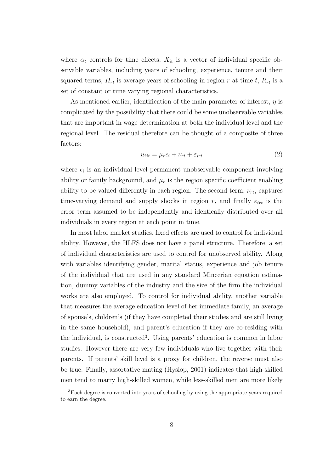where  $\alpha_t$  controls for time effects,  $X_{it}$  is a vector of individual specific observable variables, including years of schooling, experience, tenure and their squared terms,  $H_{rt}$  is average years of schooling in region r at time t,  $R_{rt}$  is a set of constant or time varying regional characteristics.

As mentioned earlier, identification of the main parameter of interest,  $\eta$  is complicated by the possibility that there could be some unobservable variables that are important in wage determination at both the individual level and the regional level. The residual therefore can be thought of a composite of three factors:

$$
u_{ijt} = \mu_r \epsilon_i + \nu_{rt} + \varepsilon_{irt} \tag{2}
$$

where  $\epsilon_i$  is an individual level permanent unobservable component involving ability or family background, and  $\mu_r$  is the region specific coefficient enabling ability to be valued differently in each region. The second term,  $\nu_{rt}$ , captures time-varying demand and supply shocks in region r, and finally  $\varepsilon_{irt}$  is the error term assumed to be independently and identically distributed over all individuals in every region at each point in time.

In most labor market studies, fixed effects are used to control for individual ability. However, the HLFS does not have a panel structure. Therefore, a set of individual characteristics are used to control for unobserved ability. Along with variables identifying gender, marital status, experience and job tenure of the individual that are used in any standard Mincerian equation estimation, dummy variables of the industry and the size of the firm the individual works are also employed. To control for individual ability, another variable that measures the average education level of her immediate family, an average of spouse's, children's (if they have completed their studies and are still living in the same household), and parent's education if they are co-residing with the individual, is constructed<sup>3</sup>. Using parents' education is common in labor studies. However there are very few individuals who live together with their parents. If parents' skill level is a proxy for children, the reverse must also be true. Finally, assortative mating (Hyslop, 2001) indicates that high-skilled men tend to marry high-skilled women, while less-skilled men are more likely

<sup>3</sup>Each degree is converted into years of schooling by using the appropriate years required to earn the degree.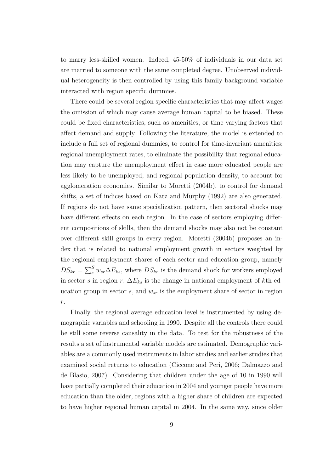to marry less-skilled women. Indeed, 45-50% of individuals in our data set are married to someone with the same completed degree. Unobserved individual heterogeneity is then controlled by using this family background variable interacted with region specific dummies.

There could be several region specific characteristics that may affect wages the omission of which may cause average human capital to be biased. These could be fixed characteristics, such as amenities, or time varying factors that affect demand and supply. Following the literature, the model is extended to include a full set of regional dummies, to control for time-invariant amenities; regional unemployment rates, to eliminate the possibility that regional education may capture the unemployment effect in case more educated people are less likely to be unemployed; and regional population density, to account for agglomeration economies. Similar to Moretti (2004b), to control for demand shifts, a set of indices based on Katz and Murphy (1992) are also generated. If regions do not have same specialization pattern, then sectoral shocks may have different effects on each region. In the case of sectors employing different compositions of skills, then the demand shocks may also not be constant over different skill groups in every region. Moretti (2004b) proposes an index that is related to national employment growth in sectors weighted by the regional employment shares of each sector and education group, namely  $DS_{kr} = \sum_{s}^{S} w_{sr} \Delta E_{ks}$ , where  $DS_{kr}$  is the demand shock for workers employed in sector s in region r,  $\Delta E_{ks}$  is the change in national employment of kth education group in sector  $s$ , and  $w_{sr}$  is the employment share of sector in region r.

Finally, the regional average education level is instrumented by using demographic variables and schooling in 1990. Despite all the controls there could be still some reverse causality in the data. To test for the robustness of the results a set of instrumental variable models are estimated. Demographic variables are a commonly used instruments in labor studies and earlier studies that examined social returns to education (Ciccone and Peri, 2006; Dalmazzo and de Blasio, 2007). Considering that children under the age of 10 in 1990 will have partially completed their education in 2004 and younger people have more education than the older, regions with a higher share of children are expected to have higher regional human capital in 2004. In the same way, since older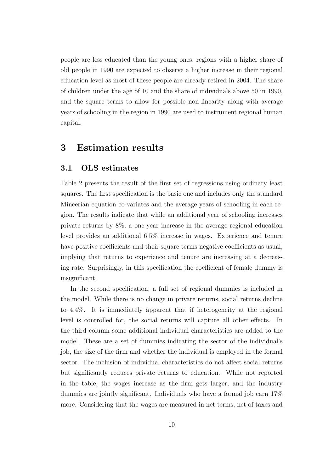people are less educated than the young ones, regions with a higher share of old people in 1990 are expected to observe a higher increase in their regional education level as most of these people are already retired in 2004. The share of children under the age of 10 and the share of individuals above 50 in 1990, and the square terms to allow for possible non-linearity along with average years of schooling in the region in 1990 are used to instrument regional human capital.

## 3 Estimation results

#### 3.1 OLS estimates

Table 2 presents the result of the first set of regressions using ordinary least squares. The first specification is the basic one and includes only the standard Mincerian equation co-variates and the average years of schooling in each region. The results indicate that while an additional year of schooling increases private returns by 8%, a one-year increase in the average regional education level provides an additional 6.5% increase in wages. Experience and tenure have positive coefficients and their square terms negative coefficients as usual, implying that returns to experience and tenure are increasing at a decreasing rate. Surprisingly, in this specification the coefficient of female dummy is insignificant.

In the second specification, a full set of regional dummies is included in the model. While there is no change in private returns, social returns decline to 4.4%. It is immediately apparent that if heterogeneity at the regional level is controlled for, the social returns will capture all other effects. In the third column some additional individual characteristics are added to the model. These are a set of dummies indicating the sector of the individual's job, the size of the firm and whether the individual is employed in the formal sector. The inclusion of individual characteristics do not affect social returns but significantly reduces private returns to education. While not reported in the table, the wages increase as the firm gets larger, and the industry dummies are jointly significant. Individuals who have a formal job earn 17% more. Considering that the wages are measured in net terms, net of taxes and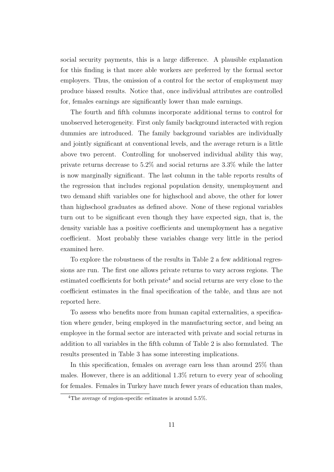social security payments, this is a large difference. A plausible explanation for this finding is that more able workers are preferred by the formal sector employers. Thus, the omission of a control for the sector of employment may produce biased results. Notice that, once individual attributes are controlled for, females earnings are significantly lower than male earnings.

The fourth and fifth columns incorporate additional terms to control for unobserved heterogeneity. First only family background interacted with region dummies are introduced. The family background variables are individually and jointly significant at conventional levels, and the average return is a little above two percent. Controlling for unobserved individual ability this way, private returns decrease to 5.2% and social returns are 3.3% while the latter is now marginally significant. The last column in the table reports results of the regression that includes regional population density, unemployment and two demand shift variables one for highschool and above, the other for lower than highschool graduates as defined above. None of these regional variables turn out to be significant even though they have expected sign, that is, the density variable has a positive coefficients and unemployment has a negative coefficient. Most probably these variables change very little in the period examined here.

To explore the robustness of the results in Table 2 a few additional regressions are run. The first one allows private returns to vary across regions. The estimated coefficients for both private<sup>4</sup> and social returns are very close to the coefficient estimates in the final specification of the table, and thus are not reported here.

To assess who benefits more from human capital externalities, a specification where gender, being employed in the manufacturing sector, and being an employee in the formal sector are interacted with private and social returns in addition to all variables in the fifth column of Table 2 is also formulated. The results presented in Table 3 has some interesting implications.

In this specification, females on average earn less than around 25% than males. However, there is an additional 1.3% return to every year of schooling for females. Females in Turkey have much fewer years of education than males,

<sup>&</sup>lt;sup>4</sup>The average of region-specific estimates is around 5.5%.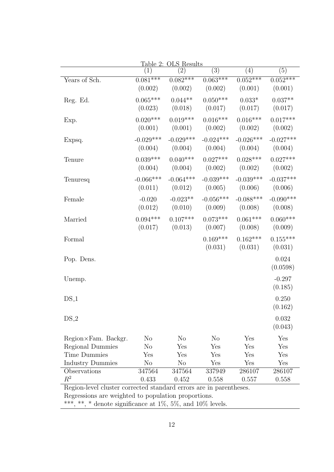| Table 2: OLS Results                                               |                      |                       |                       |                     |             |  |
|--------------------------------------------------------------------|----------------------|-----------------------|-----------------------|---------------------|-------------|--|
|                                                                    | (1)                  | $\left( 2\right)$     | (3)                   | (4)                 | (5)         |  |
| Years of Sch.                                                      | $0.081***$           | $0.082***$            | $0.063***$            | $0.052***$          | $0.052***$  |  |
|                                                                    | (0.002)              | (0.002)               | (0.002)               | (0.001)             | (0.001)     |  |
| Reg. Ed.                                                           | $0.065***$           | $0.044**$             | $0.050***$            | $0.033*$            | $0.037**$   |  |
|                                                                    | (0.023)              | (0.018)               | (0.017)               | (0.017)             | (0.017)     |  |
|                                                                    | $0.020***$           | $0.019***$            | $0.016***$            | $0.016***$          | $0.017***$  |  |
| Exp.                                                               | (0.001)              | (0.001)               | (0.002)               | (0.002)             | (0.002)     |  |
|                                                                    |                      |                       |                       |                     |             |  |
| Expsq.                                                             | $-0.029***$          | $-0.029***$           | $-0.024***$           | $-0.026***$         | $-0.027***$ |  |
|                                                                    | (0.004)              | (0.004)               | (0.004)               | (0.004)             | (0.004)     |  |
| Tenure                                                             | $0.039***$           | $0.040***$            | $0.027***$            | $0.028***$          | $0.027***$  |  |
|                                                                    | (0.004)              | (0.004)               |                       | $(0.002)$ $(0.002)$ | (0.002)     |  |
| Tenuresq                                                           | $-0.066***$          | $-0.064***$           | $-0.039***$           | $-0.039***$         | $-0.037***$ |  |
|                                                                    | (0.011)              | (0.012)               | (0.005)               | (0.006)             | (0.006)     |  |
|                                                                    |                      |                       |                       |                     |             |  |
| Female                                                             | $-0.020$             | $-0.023**$            | $-0.056***$           | $-0.088***$         | $-0.090***$ |  |
|                                                                    | (0.012)              | (0.010)               | (0.009)               | (0.008)             | (0.008)     |  |
| Married                                                            | $0.094***$           | $0.107***$            | $0.073***$            | $0.061***$          | $0.060***$  |  |
|                                                                    | (0.017)              | (0.013)               |                       | $(0.007)$ $(0.008)$ | (0.009)     |  |
| Formal                                                             |                      |                       | $0.169***$            | $0.162***$          | $0.155***$  |  |
|                                                                    |                      |                       | (0.031)               | (0.031)             | (0.031)     |  |
| Pop. Dens.                                                         |                      |                       |                       |                     | 0.024       |  |
|                                                                    |                      |                       |                       |                     | (0.0598)    |  |
|                                                                    |                      |                       |                       |                     |             |  |
| Unemp.                                                             |                      |                       |                       |                     | $-0.297$    |  |
|                                                                    |                      |                       |                       |                     | (0.185)     |  |
| $DS_1$                                                             |                      |                       |                       |                     | 0.250       |  |
|                                                                    |                      |                       |                       |                     | (0.162)     |  |
| $DS_2$                                                             |                      |                       |                       |                     | 0.032       |  |
|                                                                    |                      |                       |                       |                     | (0.043)     |  |
|                                                                    |                      |                       |                       |                     |             |  |
| $Region \times Fam.$ Backgr.                                       | $\rm No$<br>$\rm No$ | N <sub>o</sub><br>Yes | N <sub>o</sub><br>Yes | Yes<br>Yes          | Yes<br>Yes  |  |
| Regional Dummies<br><b>Time Dummies</b>                            | Yes                  | Yes                   | Yes                   | Yes                 | Yes         |  |
| <b>Industry Dummies</b>                                            | No                   | N <sub>o</sub>        | Yes                   | Yes                 | Yes         |  |
| Observations                                                       | 347564               | 347564                | 337949                | 286107              | 286107      |  |
| $R^2$                                                              | 0.433                | 0.452                 | 0.558                 | 0.557               | 0.558       |  |
| Region-level cluster corrected standard errors are in parentheses. |                      |                       |                       |                     |             |  |
| Regressions are weighted to population proportions.                |                      |                       |                       |                     |             |  |

\*\*\*, \*\*, \* denote significance at  $1\%$ ,  $5\%$ , and  $10\%$  levels.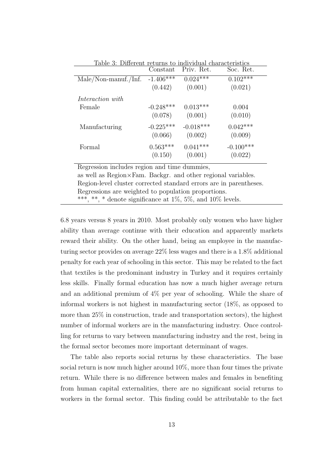| Table 3: Different returns to individual characteristics | Constant    | Priv. Ret.  | Soc. Ret.   |
|----------------------------------------------------------|-------------|-------------|-------------|
| $Male/Non-manuf./Inf.$                                   | $-1.406***$ | $0.024***$  | $0.102***$  |
|                                                          | (0.442)     | (0.001)     | (0.021)     |
| <i>Interaction with</i>                                  |             |             |             |
| Female                                                   | $-0.248***$ | $0.013***$  | 0.004       |
|                                                          | (0.078)     | (0.001)     | (0.010)     |
| Manufacturing                                            | $-0.225***$ | $-0.018***$ | $0.042***$  |
|                                                          | (0.066)     | (0.002)     | (0.009)     |
| Formal                                                   | $0.563***$  | $0.041***$  | $-0.100***$ |
|                                                          | (0.150)     | (0.001)     | (0.022)     |

Table 3: Different returns to individual characteristics

Regression includes region and time dummies, as well as Region×Fam. Backgr. and other regional variables. Region-level cluster corrected standard errors are in parentheses. Regressions are weighted to population proportions. \*\*\*, \*\*, \* denote significance at  $1\%$ ,  $5\%$ , and  $10\%$  levels.

6.8 years versus 8 years in 2010. Most probably only women who have higher ability than average continue with their education and apparently markets reward their ability. On the other hand, being an employee in the manufacturing sector provides on average 22% less wages and there is a 1.8% additional penalty for each year of schooling in this sector. This may be related to the fact that textiles is the predominant industry in Turkey and it requires certainly less skills. Finally formal education has now a much higher average return and an additional premium of 4% per year of schooling. While the share of informal workers is not highest in manufacturing sector (18%, as opposed to more than 25% in construction, trade and transportation sectors), the highest number of informal workers are in the manufacturing industry. Once controlling for returns to vary between manufacturing industry and the rest, being in the formal sector becomes more important determinant of wages.

The table also reports social returns by these characteristics. The base social return is now much higher around 10%, more than four times the private return. While there is no difference between males and females in benefiting from human capital externalities, there are no significant social returns to workers in the formal sector. This finding could be attributable to the fact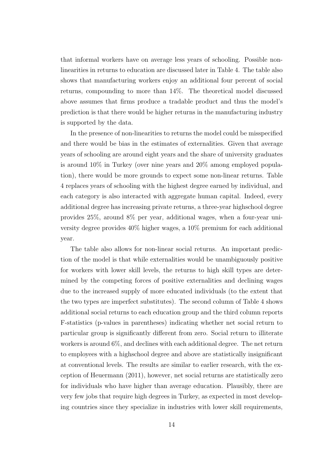that informal workers have on average less years of schooling. Possible nonlinearities in returns to education are discussed later in Table 4. The table also shows that manufacturing workers enjoy an additional four percent of social returns, compounding to more than 14%. The theoretical model discussed above assumes that firms produce a tradable product and thus the model's prediction is that there would be higher returns in the manufacturing industry is supported by the data.

In the presence of non-linearities to returns the model could be misspecified and there would be bias in the estimates of externalities. Given that average years of schooling are around eight years and the share of university graduates is around 10% in Turkey (over nine years and 20% among employed population), there would be more grounds to expect some non-linear returns. Table 4 replaces years of schooling with the highest degree earned by individual, and each category is also interacted with aggregate human capital. Indeed, every additional degree has increasing private returns, a three-year highschool degree provides 25%, around 8% per year, additional wages, when a four-year university degree provides 40% higher wages, a 10% premium for each additional year.

The table also allows for non-linear social returns. An important prediction of the model is that while externalities would be unambiguously positive for workers with lower skill levels, the returns to high skill types are determined by the competing forces of positive externalities and declining wages due to the increased supply of more educated individuals (to the extent that the two types are imperfect substitutes). The second column of Table 4 shows additional social returns to each education group and the third column reports F-statistics (p-values in parentheses) indicating whether net social return to particular group is significantly different from zero. Social return to illiterate workers is around 6%, and declines with each additional degree. The net return to employees with a highschool degree and above are statistically insignificant at conventional levels. The results are similar to earlier research, with the exception of Heuermann (2011), however, net social returns are statistically zero for individuals who have higher than average education. Plausibly, there are very few jobs that require high degrees in Turkey, as expected in most developing countries since they specialize in industries with lower skill requirements,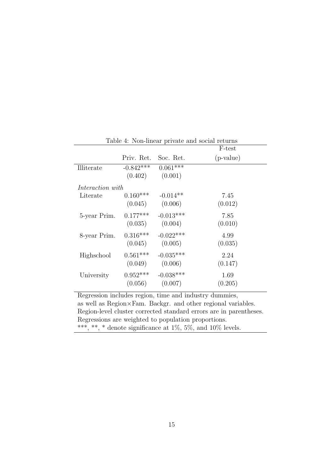| Table 4: Non-linear private and social returns |             |             |             |  |  |
|------------------------------------------------|-------------|-------------|-------------|--|--|
|                                                |             |             | F-test      |  |  |
|                                                | Priv. Ret.  | Soc. Ret.   | $(p-value)$ |  |  |
| Illiterate                                     | $-0.842***$ | $0.061***$  |             |  |  |
|                                                | (0.402)     | (0.001)     |             |  |  |
| Interaction with                               |             |             |             |  |  |
| Literate                                       | $0.160***$  | $-0.014**$  | 7.45        |  |  |
|                                                | (0.045)     | (0.006)     | (0.012)     |  |  |
| 5-year Prim.                                   | $0.177***$  | $-0.013***$ | 7.85        |  |  |
|                                                | (0.035)     | (0.004)     | (0.010)     |  |  |
| 8-year Prim.                                   | $0.316***$  | $-0.022***$ | 4.99        |  |  |
|                                                | (0.045)     | (0.005)     | (0.035)     |  |  |
| Highschool                                     | $0.561***$  | $-0.035***$ | 2.24        |  |  |
|                                                | (0.049)     | (0.006)     | (0.147)     |  |  |
| University                                     | $0.952***$  | $-0.038***$ | 1.69        |  |  |
|                                                | (0.056)     | (0.007)     | (0.205)     |  |  |
|                                                |             |             |             |  |  |

Regression includes region, time and industry dummies, as well as Region×Fam. Backgr. and other regional variables. Region-level cluster corrected standard errors are in parentheses. Regressions are weighted to population proportions. \*\*\*, \*\*, \* denote significance at 1%, 5%, and 10% levels.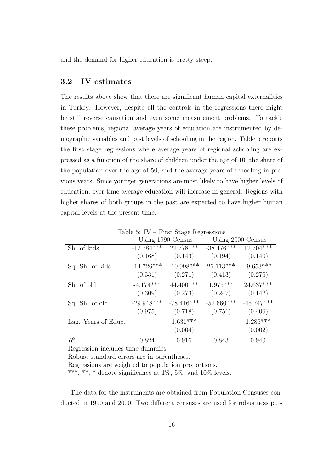and the demand for higher education is pretty steep.

### 3.2 IV estimates

The results above show that there are significant human capital externalities in Turkey. However, despite all the controls in the regressions there might be still reverse causation and even some measurement problems. To tackle these problems, regional average years of education are instrumented by demographic variables and past levels of schooling in the region. Table 5 reports the first stage regressions where average years of regional schooling are expressed as a function of the share of children under the age of 10, the share of the population over the age of 50, and the average years of schooling in previous years. Since younger generations are most likely to have higher levels of education, over time average education will increase in general. Regions with higher shares of both groups in the past are expected to have higher human capital levels at the present time.

|                                                                  |              | Using 1990 Census | Using 2000 Census |              |  |  |
|------------------------------------------------------------------|--------------|-------------------|-------------------|--------------|--|--|
| Sh. of kids                                                      | $-12.784***$ | 22.778***         | $-38.476***$      | $12.704***$  |  |  |
|                                                                  | (0.168)      | (0.143)           | (0.194)           | (0.140)      |  |  |
| Sq. Sh. of kids                                                  | $-14.726***$ | $-10.998***$      | $26.113***$       | $-9.653***$  |  |  |
|                                                                  | (0.331)      | (0.271)           | (0.413)           | (0.276)      |  |  |
| Sh. of old                                                       | $-4.174***$  | $44.400***$       | $1.975***$        | 24.637***    |  |  |
|                                                                  | (0.309)      | (0.273)           | (0.247)           | (0.142)      |  |  |
| Sq. Sh. of old                                                   | $-29.948***$ | $-78.416***$      | $-52.660***$      | $-45.747***$ |  |  |
|                                                                  | (0.975)      | (0.718)           | (0.751)           | (0.406)      |  |  |
| Lag. Years of Educ.                                              |              | $1.631***$        |                   | $1.286***$   |  |  |
|                                                                  |              | (0.004)           |                   | (0.002)      |  |  |
| $R^2$                                                            | 0.824        | 0.916             | 0.843             | 0.940        |  |  |
| Regression includes time dummies.                                |              |                   |                   |              |  |  |
| Robust standard errors are in parentheses.                       |              |                   |                   |              |  |  |
| Regressions are weighted to population proportions.              |              |                   |                   |              |  |  |
| ***, **, * denote significance at $1\%$ , 5%, and $10\%$ levels. |              |                   |                   |              |  |  |

Table 5:  $IV - First Stage$  Regressions

The data for the instruments are obtained from Population Censuses conducted in 1990 and 2000. Two different censuses are used for robustness pur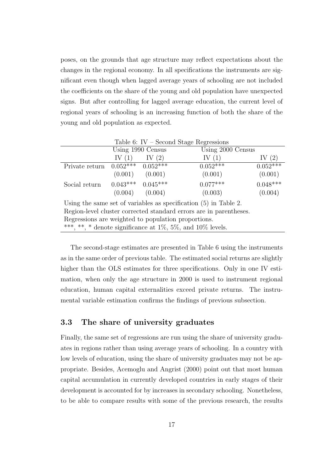poses, on the grounds that age structure may reflect expectations about the changes in the regional economy. In all specifications the instruments are significant even though when lagged average years of schooling are not included the coefficients on the share of the young and old population have unexpected signs. But after controlling for lagged average education, the current level of regional years of schooling is an increasing function of both the share of the young and old population as expected.

|                                                                   |          |                       | Table 6: IV – Second Stage Regressions |            |  |
|-------------------------------------------------------------------|----------|-----------------------|----------------------------------------|------------|--|
|                                                                   |          | Using 1990 Census     | Using 2000 Census                      |            |  |
|                                                                   | IV $(1)$ | IV $(2)$              | IV $(1)$                               | IV $(2)$   |  |
| Private return                                                    |          | $0.052***$ $0.052***$ | $0.05\overline{2^{***}}$               | $0.052***$ |  |
|                                                                   | (0.001)  | (0.001)               | (0.001)                                | (0.001)    |  |
| Social return                                                     |          | $0.043***$ $0.045***$ | $0.077***$                             | $0.048***$ |  |
|                                                                   | (0.004)  | (0.004)               | (0.003)                                | (0.004)    |  |
| Using the same set of variables as specification $(5)$ in Table 2 |          |                       |                                        |            |  |

Using the same set of variables as specification (5) in Table 2. Region-level cluster corrected standard errors are in parentheses. Regressions are weighted to population proportions. \*\*\*, \*\*, \* denote significance at  $1\%$ ,  $5\%$ , and  $10\%$  levels.

The second-stage estimates are presented in Table 6 using the instruments as in the same order of previous table. The estimated social returns are slightly higher than the OLS estimates for three specifications. Only in one IV estimation, when only the age structure in 2000 is used to instrument regional education, human capital externalities exceed private returns. The instrumental variable estimation confirms the findings of previous subsection.

### 3.3 The share of university graduates

Finally, the same set of regressions are run using the share of university graduates in regions rather than using average years of schooling. In a country with low levels of education, using the share of university graduates may not be appropriate. Besides, Acemoglu and Angrist (2000) point out that most human capital accumulation in currently developed countries in early stages of their development is accounted for by increases in secondary schooling. Nonetheless, to be able to compare results with some of the previous research, the results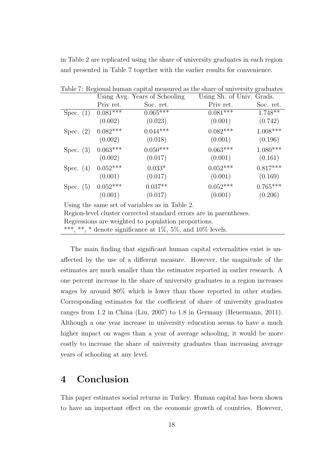in Table 2 are replicated using the share of university graduates in each region and presented in Table 7 together with the earlier results for convenience.

|                                                                    |            | Using Avg. Years of Schooling | Using Sh. of Univ. Grads. |            |  |  |
|--------------------------------------------------------------------|------------|-------------------------------|---------------------------|------------|--|--|
|                                                                    | Priv ret.  | Soc. ret.                     | Priv ret.                 | Soc. ret.  |  |  |
| Spec. $(1)$                                                        | $0.081***$ | $0.065***$                    | $0.081***$                | $1.748**$  |  |  |
|                                                                    | (0.002)    | (0.023)                       | (0.001)                   | (0.742)    |  |  |
| Spec. $(2)$                                                        | $0.082***$ | $0.044***$                    | $0.082***$                | $1.008***$ |  |  |
|                                                                    | (0.002)    | (0.018)                       | (0.001)                   | (0.196)    |  |  |
| Spec. $(3)$                                                        | $0.063***$ | $0.050***$                    | $0.063***$                | $1.080***$ |  |  |
|                                                                    | (0.002)    | (0.017)                       | (0.001)                   | (0.161)    |  |  |
| Spec. $(4)$                                                        | $0.052***$ | $0.033*$                      | $0.052***$                | $0.817***$ |  |  |
|                                                                    | (0.001)    | (0.017)                       | (0.001)                   | (0.169)    |  |  |
| Spec. $(5)$                                                        | $0.052***$ | $0.037**$                     | $0.052***$                | $0.765***$ |  |  |
|                                                                    | (0.001)    | (0.017)                       | (0.001)                   | (0.206)    |  |  |
| Using the same set of variables as in Table 2.                     |            |                               |                           |            |  |  |
| Region-level cluster corrected standard errors are in parentheses. |            |                               |                           |            |  |  |

Table 7: Regional human capital measured as the share of university graduates

Regressions are weighted to population proportions.

\*\*\*, \*\*, \* denote significance at  $1\%$ ,  $5\%$ , and  $10\%$  levels.

The main finding that significant human capital externalities exist is unaffected by the use of a different measure. However, the magnitude of the estimates are much smaller than the estimates reported in earlier research. A one percent increase in the share of university graduates in a region increases wages by around 80% which is lower than those reported in other studies. Corresponding estimates for the coefficient of share of university graduates ranges from 1.2 in China (Liu, 2007) to 1.8 in Germany (Heuermann, 2011). Although a one year increase in university education seems to have a much higher impact on wages than a year of average schooling, it would be more costly to increase the share of university graduates than increasing average years of schooling at any level.

## 4 Conclusion

This paper estimates social returns in Turkey. Human capital has been shown to have an important effect on the economic growth of countries. However,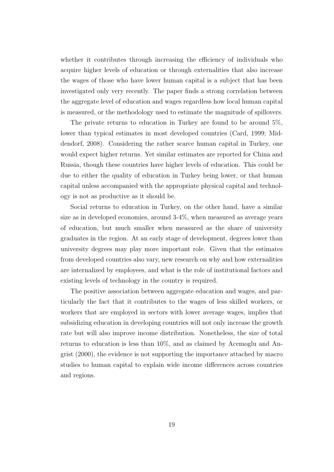whether it contributes through increasing the efficiency of individuals who acquire higher levels of education or through externalities that also increase the wages of those who have lower human capital is a subject that has been investigated only very recently. The paper finds a strong correlation between the aggregate level of education and wages regardless how local human capital is measured, or the methodology used to estimate the magnitude of spillovers.

The private returns to education in Turkey are found to be around 5%, lower than typical estimates in most developed countries (Card, 1999; Middendorf, 2008). Considering the rather scarce human capital in Turkey, one would expect higher returns. Yet similar estimates are reported for China and Russia, though these countries have higher levels of education. This could be due to either the quality of education in Turkey being lower, or that human capital unless accompanied with the appropriate physical capital and technology is not as productive as it should be.

Social returns to education in Turkey, on the other hand, have a similar size as in developed economies, around 3-4%, when measured as average years of education, but much smaller when measured as the share of university graduates in the region. At an early stage of development, degrees lower than university degrees may play more important role. Given that the estimates from developed countries also vary, new research on why and how externalities are internalized by employees, and what is the role of institutional factors and existing levels of technology in the country is required.

The positive association between aggregate education and wages, and particularly the fact that it contributes to the wages of less skilled workers, or workers that are employed in sectors with lower average wages, implies that subsidizing education in developing countries will not only increase the growth rate but will also improve income distribution. Nonetheless, the size of total returns to education is less than 10%, and as claimed by Acemoglu and Angrist (2000), the evidence is not supporting the importance attached by macro studies to human capital to explain wide income differences across countries and regions.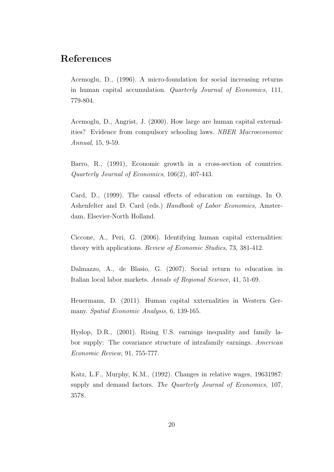## References

Acemoglu, D., (1996). A micro-foundation for social increasing returns in human capital accumulation. *Quarterly Journal of Economics*, 111, 779-804.

Acemoglu, D., Angrist, J. (2000). How large are human capital externalities? Evidence from compulsory schooling laws. *NBER Macroeconomic Annual*, 15, 9-59.

Barro, R., (1991), Economic growth in a cross-section of countries. *Quarterly Journal of Economics*, 106(2), 407-443.

Card, D., (1999). The causal effects of education on earnings. In O. Ashenfelter and D. Card (eds.) *Handbook of Labor Economics*, Amsterdam, Elsevier-North Holland.

Ciccone, A., Peri, G. (2006). Identifying human capital externalities: theory with applications. *Review of Economic Studies*, 73, 381-412.

Dalmazzo, A., de Blasio, G. (2007). Social return to education in Italian local labor markets. *Annals of Regional Science*, 41, 51-69.

Heuermann, D. (2011). Human capital xxternalities in Western Germany. *Spatial Economic Analysis*, 6, 139-165.

Hyslop, D.R., (2001). Rising U.S. earnings inequality and family labor supply: The covariance structure of intrafamily earnings. *American Economic Review*, 91, 755-777.

Katz, L.F., Murphy, K.M., (1992). Changes in relative wages, 19631987: supply and demand factors. *The Quarterly Journal of Economics*, 107, 3578.